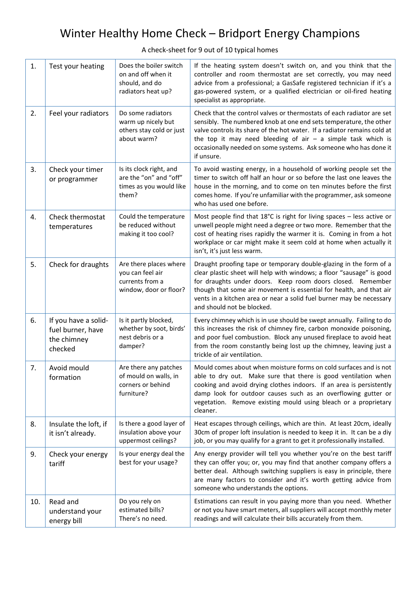# Winter Healthy Home Check – Bridport Energy Champions

A check-sheet for 9 out of 10 typical homes

| 1.  | Test your heating                                                   | Does the boiler switch<br>on and off when it<br>should, and do<br>radiators heat up?    | If the heating system doesn't switch on, and you think that the<br>controller and room thermostat are set correctly, you may need<br>advice from a professional; a GasSafe registered technician if it's a<br>gas-powered system, or a qualified electrician or oil-fired heating<br>specialist as appropriate.                                                                        |
|-----|---------------------------------------------------------------------|-----------------------------------------------------------------------------------------|----------------------------------------------------------------------------------------------------------------------------------------------------------------------------------------------------------------------------------------------------------------------------------------------------------------------------------------------------------------------------------------|
| 2.  | Feel your radiators                                                 | Do some radiators<br>warm up nicely but<br>others stay cold or just<br>about warm?      | Check that the control valves or thermostats of each radiator are set<br>sensibly. The numbered knob at one end sets temperature, the other<br>valve controls its share of the hot water. If a radiator remains cold at<br>the top it may need bleeding of air $-$ a simple task which is<br>occasionally needed on some systems. Ask someone who has done it<br>if unsure.            |
| 3.  | Check your timer<br>or programmer                                   | Is its clock right, and<br>are the "on" and "off"<br>times as you would like<br>them?   | To avoid wasting energy, in a household of working people set the<br>timer to switch off half an hour or so before the last one leaves the<br>house in the morning, and to come on ten minutes before the first<br>comes home. If you're unfamiliar with the programmer, ask someone<br>who has used one before.                                                                       |
| 4.  | Check thermostat<br>temperatures                                    | Could the temperature<br>be reduced without<br>making it too cool?                      | Most people find that $18^{\circ}$ C is right for living spaces - less active or<br>unwell people might need a degree or two more. Remember that the<br>cost of heating rises rapidly the warmer it is. Coming in from a hot<br>workplace or car might make it seem cold at home when actually it<br>isn't, it's just less warm.                                                       |
| 5.  | Check for draughts                                                  | Are there places where<br>you can feel air<br>currents from a<br>window, door or floor? | Draught proofing tape or temporary double-glazing in the form of a<br>clear plastic sheet will help with windows; a floor "sausage" is good<br>for draughts under doors. Keep room doors closed. Remember<br>though that some air movement is essential for health, and that air<br>vents in a kitchen area or near a solid fuel burner may be necessary<br>and should not be blocked. |
| 6.  | If you have a solid-<br>fuel burner, have<br>the chimney<br>checked | Is it partly blocked,<br>whether by soot, birds'<br>nest debris or a<br>damper?         | Every chimney which is in use should be swept annually. Failing to do<br>this increases the risk of chimney fire, carbon monoxide poisoning,<br>and poor fuel combustion. Block any unused fireplace to avoid heat<br>from the room constantly being lost up the chimney, leaving just a<br>trickle of air ventilation.                                                                |
| 7.  | Avoid mould<br>formation                                            | Are there any patches<br>of mould on walls, in<br>corners or behind<br>furniture?       | Mould comes about when moisture forms on cold surfaces and is not<br>able to dry out. Make sure that there is good ventilation when<br>cooking and avoid drying clothes indoors. If an area is persistently<br>damp look for outdoor causes such as an overflowing gutter or<br>vegetation. Remove existing mould using bleach or a proprietary<br>cleaner.                            |
| 8.  | Insulate the loft, if<br>it isn't already.                          | Is there a good layer of<br>insulation above your<br>uppermost ceilings?                | Heat escapes through ceilings, which are thin. At least 20cm, ideally<br>30cm of proper loft insulation is needed to keep it in. It can be a diy<br>job, or you may qualify for a grant to get it professionally installed.                                                                                                                                                            |
| 9.  | Check your energy<br>tariff                                         | Is your energy deal the<br>best for your usage?                                         | Any energy provider will tell you whether you're on the best tariff<br>they can offer you; or, you may find that another company offers a<br>better deal. Although switching suppliers is easy in principle, there<br>are many factors to consider and it's worth getting advice from<br>someone who understands the options.                                                          |
| 10. | Read and<br>understand your<br>energy bill                          | Do you rely on<br>estimated bills?<br>There's no need.                                  | Estimations can result in you paying more than you need. Whether<br>or not you have smart meters, all suppliers will accept monthly meter<br>readings and will calculate their bills accurately from them.                                                                                                                                                                             |